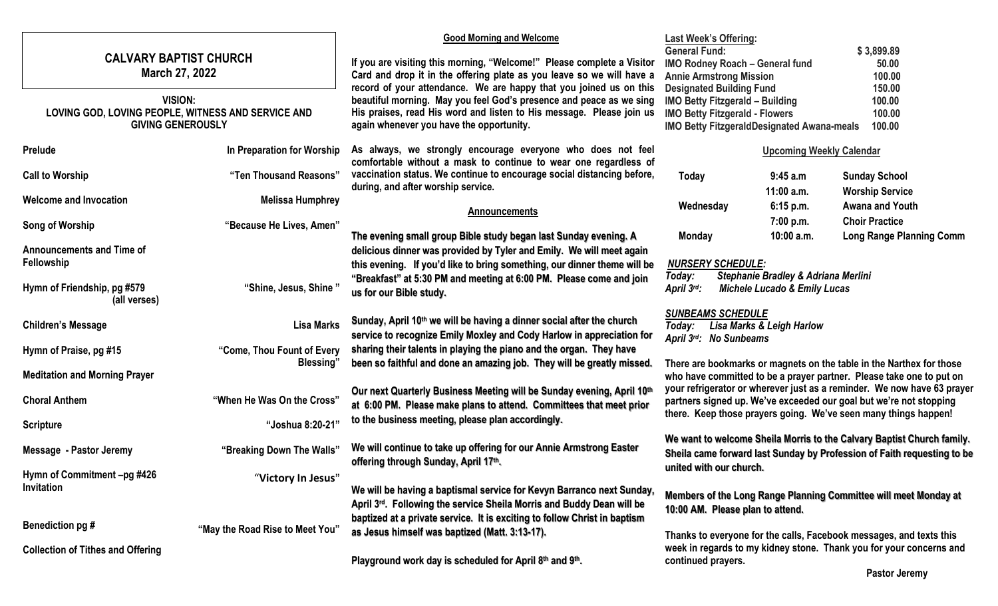| <b>CALVARY BAPTIST CHURCH</b><br>March 27, 2022                                           |                                                 | <b>Good Morning and Welcome</b><br>If you are visiting this morning, "Welcome!" Please complete a Visitor<br>Card and drop it in the offering plate as you leave so we will have a                                                                            | <b>Last Week's Offering:</b><br><b>General Fund:</b><br><b>IMO Rodney Roach - General fund</b><br><b>Annie Armstrong Mission</b>                                                                                                                                                                                                                                                                                                           |                                 | \$3,899.89<br>50.00<br>100.00                                           |
|-------------------------------------------------------------------------------------------|-------------------------------------------------|---------------------------------------------------------------------------------------------------------------------------------------------------------------------------------------------------------------------------------------------------------------|--------------------------------------------------------------------------------------------------------------------------------------------------------------------------------------------------------------------------------------------------------------------------------------------------------------------------------------------------------------------------------------------------------------------------------------------|---------------------------------|-------------------------------------------------------------------------|
| VISION:<br>LOVING GOD, LOVING PEOPLE, WITNESS AND SERVICE AND<br><b>GIVING GENEROUSLY</b> |                                                 | record of your attendance. We are happy that you joined us on this<br>beautiful morning. May you feel God's presence and peace as we sing<br>His praises, read His word and listen to His message. Please join us<br>again whenever you have the opportunity. | <b>Designated Building Fund</b><br>150.00<br><b>IMO Betty Fitzgerald - Building</b><br>100.00<br><b>IMO Betty Fitzgerald - Flowers</b><br>100.00<br>IMO Betty FitzgeraldDesignated Awana-meals<br>100.00                                                                                                                                                                                                                                   |                                 |                                                                         |
| <b>Prelude</b>                                                                            | In Preparation for Worship                      | As always, we strongly encourage everyone who does not feel<br>comfortable without a mask to continue to wear one regardless of                                                                                                                               |                                                                                                                                                                                                                                                                                                                                                                                                                                            | <b>Upcoming Weekly Calendar</b> |                                                                         |
| <b>Call to Worship</b>                                                                    | "Ten Thousand Reasons"                          | vaccination status. We continue to encourage social distancing before,<br>during, and after worship service.                                                                                                                                                  | <b>Today</b>                                                                                                                                                                                                                                                                                                                                                                                                                               | 9:45 a.m<br>11:00 a.m.          | <b>Sunday School</b><br><b>Worship Service</b>                          |
| <b>Welcome and Invocation</b>                                                             | <b>Melissa Humphrey</b>                         | <b>Announcements</b>                                                                                                                                                                                                                                          | Wednesday                                                                                                                                                                                                                                                                                                                                                                                                                                  | 6:15 p.m.                       | <b>Awana and Youth</b>                                                  |
| Song of Worship                                                                           | "Because He Lives, Amen"                        | The evening small group Bible study began last Sunday evening. A                                                                                                                                                                                              | <b>Monday</b>                                                                                                                                                                                                                                                                                                                                                                                                                              | 7:00 p.m.<br>10:00 a.m.         | <b>Choir Practice</b><br><b>Long Range Planning Comm</b>                |
| <b>Announcements and Time of</b><br>Fellowship                                            |                                                 | delicious dinner was provided by Tyler and Emily. We will meet again<br>this evening. If you'd like to bring something, our dinner theme will be<br>"Breakfast" at 5:30 PM and meeting at 6:00 PM. Please come and join                                       | <b>NURSERY SCHEDULE:</b><br>Today:                                                                                                                                                                                                                                                                                                                                                                                                         |                                 |                                                                         |
| Hymn of Friendship, pg #579<br>(all verses)                                               | "Shine, Jesus, Shine"                           | us for our Bible study.                                                                                                                                                                                                                                       | Stephanie Bradley & Adriana Merlini<br>April 3rd:<br><b>Michele Lucado &amp; Emily Lucas</b>                                                                                                                                                                                                                                                                                                                                               |                                 |                                                                         |
| <b>Children's Message</b>                                                                 | <b>Lisa Marks</b>                               | Sunday, April 10 <sup>th</sup> we will be having a dinner social after the church<br>service to recognize Emily Moxley and Cody Harlow in appreciation for                                                                                                    | <b>SUNBEAMS SCHEDULE</b><br>Today: Lisa Marks & Leigh Harlow<br>April 3rd: No Sunbeams                                                                                                                                                                                                                                                                                                                                                     |                                 |                                                                         |
| Hymn of Praise, pg #15                                                                    | "Come, Thou Fount of Every<br><b>Blessing</b> " | sharing their talents in playing the piano and the organ. They have<br>been so faithful and done an amazing job. They will be greatly missed.                                                                                                                 | There are bookmarks or magnets on the table in the Narthex for those<br>who have committed to be a prayer partner. Please take one to put on<br>your refrigerator or wherever just as a reminder. We now have 63 prayer<br>partners signed up. We've exceeded our goal but we're not stopping<br>there. Keep those prayers going. We've seen many things happen!<br>We want to welcome Sheila Morris to the Calvary Baptist Church family. |                                 |                                                                         |
| <b>Meditation and Morning Prayer</b>                                                      |                                                 | Our next Quarterly Business Meeting will be Sunday evening, April 10th                                                                                                                                                                                        |                                                                                                                                                                                                                                                                                                                                                                                                                                            |                                 |                                                                         |
| <b>Choral Anthem</b>                                                                      | "When He Was On the Cross"                      | at 6:00 PM. Please make plans to attend. Committees that meet prior                                                                                                                                                                                           |                                                                                                                                                                                                                                                                                                                                                                                                                                            |                                 |                                                                         |
| <b>Scripture</b>                                                                          | "Joshua 8:20-21"                                | to the business meeting, please plan accordingly.                                                                                                                                                                                                             |                                                                                                                                                                                                                                                                                                                                                                                                                                            |                                 |                                                                         |
| Message - Pastor Jeremy                                                                   | "Breaking Down The Walls"                       | We will continue to take up offering for our Annie Armstrong Easter<br>offering through Sunday, April 17th.                                                                                                                                                   | united with our church.                                                                                                                                                                                                                                                                                                                                                                                                                    |                                 | Sheila came forward last Sunday by Profession of Faith requesting to be |
| Hymn of Commitment -pg #426<br>Invitation                                                 | "Victory In Jesus"                              | We will be having a baptismal service for Kevyn Barranco next Sunday,<br>April 3rd. Following the service Sheila Morris and Buddy Dean will be                                                                                                                | Members of the Long Range Planning Committee will meet Monday at<br>10:00 AM. Please plan to attend.                                                                                                                                                                                                                                                                                                                                       |                                 |                                                                         |
| Benediction pg #                                                                          | "May the Road Rise to Meet You"                 | baptized at a private service. It is exciting to follow Christ in baptism<br>as Jesus himself was baptized (Matt. 3:13-17).                                                                                                                                   | Thanks to everyone for the calls, Facebook messages, and texts this<br>week in regards to my kidney stone. Thank you for your concerns and<br>continued prayers.                                                                                                                                                                                                                                                                           |                                 |                                                                         |
| <b>Collection of Tithes and Offering</b>                                                  |                                                 | Playground work day is scheduled for April 8th and 9th.                                                                                                                                                                                                       |                                                                                                                                                                                                                                                                                                                                                                                                                                            |                                 |                                                                         |